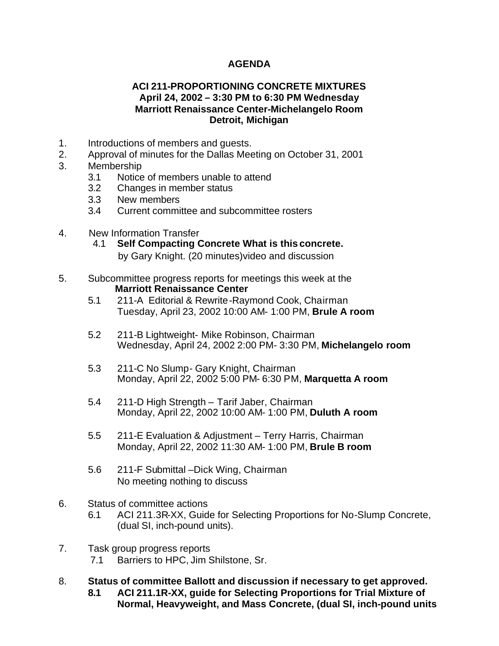## **AGENDA**

## **ACI 211-PROPORTIONING CONCRETE MIXTURES April 24, 2002 – 3:30 PM to 6:30 PM Wednesday Marriott Renaissance Center-Michelangelo Room Detroit, Michigan**

- 1. Introductions of members and guests.
- 2. Approval of minutes for the Dallas Meeting on October 31, 2001
- 3. Membership
	- 3.1 Notice of members unable to attend
	- 3.2 Changes in member status
	- 3.3 New members
	- 3.4 Current committee and subcommittee rosters
- 4. New Information Transfer
	- 4.1 **Self Compacting Concrete What is this concrete.** by Gary Knight. (20 minutes)video and discussion
- 5. Subcommittee progress reports for meetings this week at the  **Marriott Renaissance Center**
	- 5.1 211-A Editorial & Rewrite-Raymond Cook, Chairman Tuesday, April 23, 2002 10:00 AM- 1:00 PM, **Brule A room**
	- 5.2 211-B Lightweight- Mike Robinson, Chairman Wednesday, April 24, 2002 2:00 PM- 3:30 PM, **Michelangelo room**
	- 5.3 211-C No Slump- Gary Knight, Chairman Monday, April 22, 2002 5:00 PM- 6:30 PM, **Marquetta A room**
	- 5.4 211-D High Strength Tarif Jaber, Chairman Monday, April 22, 2002 10:00 AM- 1:00 PM, **Duluth A room**
	- 5.5 211-E Evaluation & Adjustment Terry Harris, Chairman Monday, April 22, 2002 11:30 AM- 1:00 PM, **Brule B room**
	- 5.6 211-F Submittal –Dick Wing, Chairman No meeting nothing to discuss
- 6. Status of committee actions
	- 6.1 ACI 211.3R-XX, Guide for Selecting Proportions for No-Slump Concrete, (dual SI, inch-pound units).
- 7. Task group progress reports 7.1 Barriers to HPC, Jim Shilstone, Sr.
- 8. **Status of committee Ballott and discussion if necessary to get approved. 8.1 ACI 211.1R-XX, guide for Selecting Proportions for Trial Mixture of Normal, Heavyweight, and Mass Concrete, (dual SI, inch-pound units**